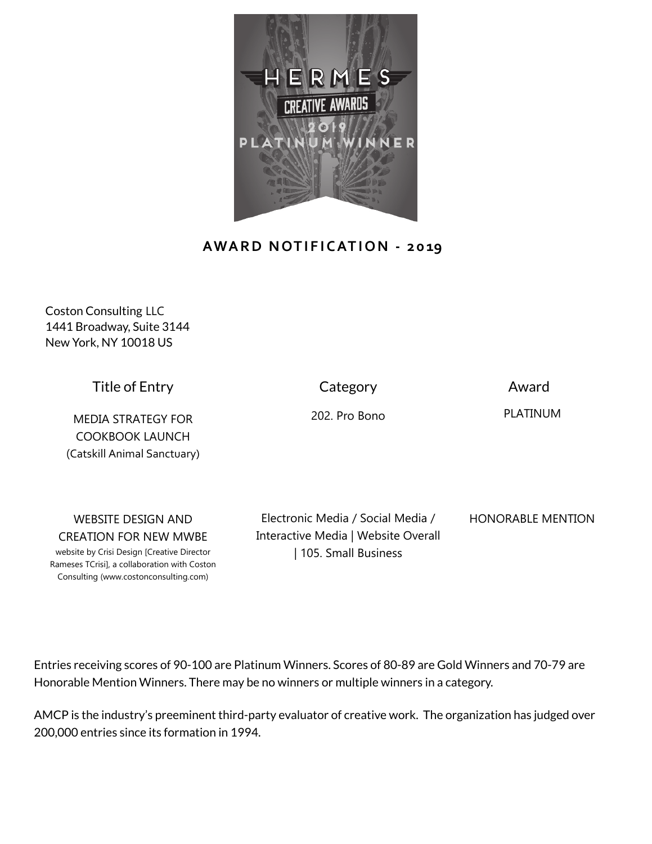

## **AWARD NOTIFICATION - 2019**

Coston Consulting LLC 1441 Broadway, Suite 3144 New York, NY 10018 US

Title of Entry

MEDIA STRATEGY FOR COOKBOOK LAUNCH (Catskill Animal Sanctuary) **Category** 

Award

202. Pro Bono

PLATINUM

WEBSITE DESIGN AND CREATION FOR NEW MWBE

website by Crisi Design [Creative Director Rameses TCrisi], a collaboration with Coston Consulting (www.costonconsulting.com)

Electronic Media / Social Media / Interactive Media | Website Overall | 105. Small Business

HONORABLE MENTION

Entries receiving scores of 90-100 are Platinum Winners. Scores of 80-89 are Gold Winners and 70-79 are Honorable Mention Winners. There may be no winners or multiple winners in a category.

AMCP is the industry's preeminent third-party evaluator of creative work. The organization has judged over 200,000 entries since its formation in 1994.